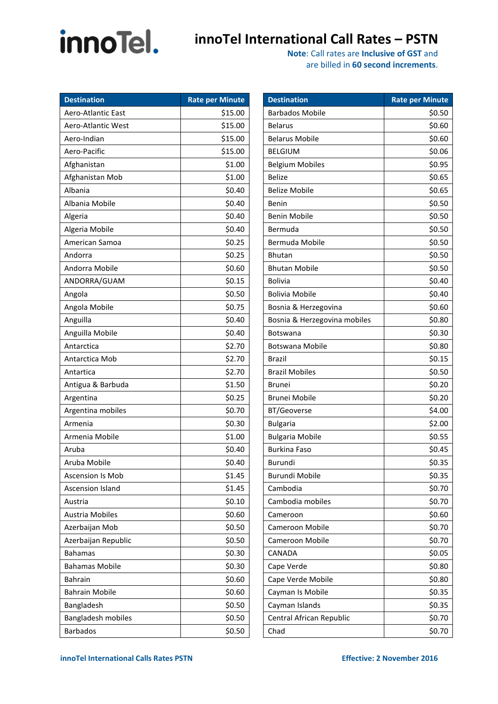# innoTel.

### **innoTel International Call Rates – PSTN**

| <b>Destination</b>      | <b>Rate per Minute</b> | <b>Destination</b>     |
|-------------------------|------------------------|------------------------|
| Aero-Atlantic East      | \$15.00                | <b>Barbados Mobi</b>   |
| Aero-Atlantic West      | \$15.00                | <b>Belarus</b>         |
| Aero-Indian             | \$15.00                | <b>Belarus Mobile</b>  |
| Aero-Pacific            | \$15.00                | <b>BELGIUM</b>         |
| Afghanistan             | \$1.00                 | <b>Belgium Mobile</b>  |
| Afghanistan Mob         | \$1.00                 | Belize                 |
| Albania                 | \$0.40                 | <b>Belize Mobile</b>   |
| Albania Mobile          | \$0.40                 | Benin                  |
| Algeria                 | \$0.40                 | <b>Benin Mobile</b>    |
| Algeria Mobile          | \$0.40                 | Bermuda                |
| American Samoa          | \$0.25                 | Bermuda Mobil          |
| Andorra                 | \$0.25                 | <b>Bhutan</b>          |
| Andorra Mobile          | \$0.60                 | <b>Bhutan Mobile</b>   |
| ANDORRA/GUAM            | \$0.15                 | <b>Bolivia</b>         |
| Angola                  | \$0.50                 | <b>Bolivia Mobile</b>  |
| Angola Mobile           | \$0.75                 | Bosnia & Herze         |
| Anguilla                | \$0.40                 | Bosnia & Herze         |
| Anguilla Mobile         | \$0.40                 | <b>Botswana</b>        |
| Antarctica              | \$2.70                 | Botswana Mobi          |
| Antarctica Mob          | \$2.70                 | Brazil                 |
| Antartica               | \$2.70                 | <b>Brazil Mobiles</b>  |
| Antigua & Barbuda       | \$1.50                 | <b>Brunei</b>          |
| Argentina               | \$0.25                 | Brunei Mobile          |
| Argentina mobiles       | \$0.70                 | BT/Geoverse            |
| Armenia                 | \$0.30                 | <b>Bulgaria</b>        |
| Armenia Mobile          | \$1.00                 | <b>Bulgaria Mobile</b> |
| Aruba                   | \$0.40                 | <b>Burkina Faso</b>    |
| Aruba Mobile            | \$0.40                 | Burundi                |
| <b>Ascension Is Mob</b> | \$1.45                 | <b>Burundi Mobile</b>  |
| Ascension Island        | \$1.45                 | Cambodia               |
| Austria                 | \$0.10                 | Cambodia mob           |
| Austria Mobiles         | \$0.60                 | Cameroon               |
| Azerbaijan Mob          | \$0.50                 | Cameroon Mob           |
| Azerbaijan Republic     | \$0.50                 | Cameroon Mob           |
| <b>Bahamas</b>          | \$0.30                 | <b>CANADA</b>          |
| <b>Bahamas Mobile</b>   | \$0.30                 | Cape Verde             |
| <b>Bahrain</b>          | \$0.60                 | Cape Verde Mo          |
| <b>Bahrain Mobile</b>   | \$0.60                 | Cayman Is Mob          |
| Bangladesh              | \$0.50                 | Cayman Islands         |
| Bangladesh mobiles      | \$0.50                 | Central African        |
| <b>Barbados</b>         | \$0.50                 | Chad                   |

| <b>Destination</b>           | <b>Rate per Minute</b> |
|------------------------------|------------------------|
| <b>Barbados Mobile</b>       | \$0.50                 |
| <b>Belarus</b>               | \$0.60                 |
| <b>Belarus Mobile</b>        | \$0.60                 |
| <b>BELGIUM</b>               | \$0.06                 |
| <b>Belgium Mobiles</b>       | \$0.95                 |
| <b>Belize</b>                | \$0.65                 |
| <b>Belize Mobile</b>         | \$0.65                 |
| Benin                        | \$0.50                 |
| <b>Benin Mobile</b>          | \$0.50                 |
| Bermuda                      | \$0.50                 |
| Bermuda Mobile               | \$0.50                 |
| <b>Bhutan</b>                | \$0.50                 |
| <b>Bhutan Mobile</b>         | \$0.50                 |
| <b>Bolivia</b>               | \$0.40                 |
| <b>Bolivia Mobile</b>        | \$0.40                 |
| Bosnia & Herzegovina         | \$0.60                 |
| Bosnia & Herzegovina mobiles | \$0.80                 |
| <b>Botswana</b>              | \$0.30                 |
| Botswana Mobile              | \$0.80                 |
| Brazil                       | \$0.15                 |
| <b>Brazil Mobiles</b>        | \$0.50                 |
| Brunei                       | \$0.20                 |
| <b>Brunei Mobile</b>         | \$0.20                 |
| BT/Geoverse                  | \$4.00                 |
| <b>Bulgaria</b>              | \$2.00                 |
| <b>Bulgaria Mobile</b>       | \$0.55                 |
| <b>Burkina Faso</b>          | \$0.45                 |
| <b>Burundi</b>               | \$0.35                 |
| <b>Burundi Mobile</b>        | \$0.35                 |
| Cambodia                     | \$0.70                 |
| Cambodia mobiles             | \$0.70                 |
| Cameroon                     | \$0.60                 |
| Cameroon Mobile              | \$0.70                 |
| Cameroon Mobile              | \$0.70                 |
| CANADA                       | \$0.05                 |
| Cape Verde                   | \$0.80                 |
| Cape Verde Mobile            | \$0.80                 |
| Cayman Is Mobile             | \$0.35                 |
| Cayman Islands               | \$0.35                 |
| Central African Republic     | \$0.70                 |
| Chad                         | \$0.70                 |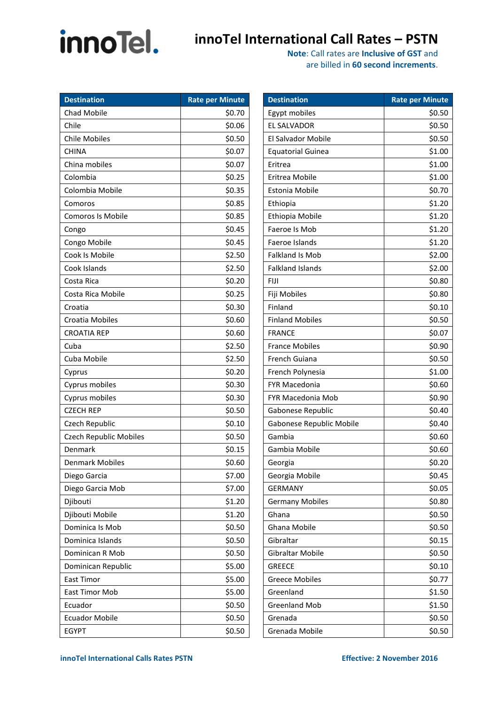## **innoTel** International Call Rates – PSTN<br>Note: Call rates are inclusive of GST and

| <b>Destination</b>            | <b>Rate per Minute</b> |
|-------------------------------|------------------------|
| <b>Chad Mobile</b>            | \$0.70                 |
| Chile                         | \$0.06                 |
| <b>Chile Mobiles</b>          | \$0.50                 |
| <b>CHINA</b>                  | \$0.07                 |
| China mobiles                 | \$0.07                 |
| Colombia                      | \$0.25                 |
| Colombia Mobile               | \$0.35                 |
| Comoros                       | \$0.85                 |
| Comoros Is Mobile             | \$0.85                 |
| Congo                         | \$0.45                 |
| Congo Mobile                  | \$0.45                 |
| Cook Is Mobile                | \$2.50                 |
| Cook Islands                  | \$2.50                 |
| Costa Rica                    | \$0.20                 |
| Costa Rica Mobile             | \$0.25                 |
| Croatia                       | \$0.30                 |
| Croatia Mobiles               | \$0.60                 |
| <b>CROATIA REP</b>            | \$0.60                 |
| Cuba                          | \$2.50                 |
| Cuba Mobile                   | \$2.50                 |
| Cyprus                        | \$0.20                 |
| Cyprus mobiles                | \$0.30                 |
| Cyprus mobiles                | \$0.30                 |
| <b>CZECH REP</b>              | \$0.50                 |
| Czech Republic                | \$0.10                 |
| <b>Czech Republic Mobiles</b> | \$0.50                 |
| Denmark                       | \$0.15                 |
| Denmark Mobiles               | \$0.60                 |
| Diego Garcia                  | \$7.00                 |
| Diego Garcia Mob              | \$7.00                 |
| Djibouti                      | \$1.20                 |
| Djibouti Mobile               | \$1.20                 |
| Dominica Is Mob               | \$0.50                 |
| Dominica Islands              | \$0.50                 |
| Dominican R Mob               | \$0.50                 |
| Dominican Republic            | \$5.00                 |
| East Timor                    | \$5.00                 |
| East Timor Mob                | \$5.00                 |
| Ecuador                       | \$0.50                 |
| <b>Ecuador Mobile</b>         | \$0.50                 |
| <b>EGYPT</b>                  | \$0.50                 |

| <b>Destination</b>       | <b>Rate per Minute</b> |
|--------------------------|------------------------|
| Egypt mobiles            | \$0.50                 |
| EL SALVADOR              | \$0.50                 |
| El Salvador Mobile       | \$0.50                 |
| <b>Equatorial Guinea</b> | \$1.00                 |
| Eritrea                  | \$1.00                 |
| Eritrea Mobile           | \$1.00                 |
| Estonia Mobile           | \$0.70                 |
| Ethiopia                 | \$1.20                 |
| Ethiopia Mobile          | \$1.20                 |
| Faeroe Is Mob            | \$1.20                 |
| Faeroe Islands           | \$1.20                 |
| <b>Falkland Is Mob</b>   | \$2.00                 |
| <b>Falkland Islands</b>  | \$2.00                 |
| FIJI                     | \$0.80                 |
| Fiji Mobiles             | \$0.80                 |
| Finland                  | \$0.10                 |
| <b>Finland Mobiles</b>   | \$0.50                 |
| <b>FRANCE</b>            | \$0.07                 |
| <b>France Mobiles</b>    | \$0.90                 |
| French Guiana            | \$0.50                 |
| French Polynesia         | \$1.00                 |
| <b>FYR Macedonia</b>     | \$0.60                 |
| FYR Macedonia Mob        | \$0.90                 |
| Gabonese Republic        | \$0.40                 |
| Gabonese Republic Mobile | \$0.40                 |
| Gambia                   | \$0.60                 |
| Gambia Mobile            | \$0.60                 |
| Georgia                  | \$0.20                 |
| Georgia Mobile           | \$0.45                 |
| <b>GERMANY</b>           | \$0.05                 |
| <b>Germany Mobiles</b>   | \$0.80                 |
| Ghana                    | \$0.50                 |
| <b>Ghana Mobile</b>      | \$0.50                 |
| Gibraltar                | \$0.15                 |
| Gibraltar Mobile         | \$0.50                 |
| <b>GREECE</b>            | \$0.10                 |
| <b>Greece Mobiles</b>    | \$0.77                 |
| Greenland                | \$1.50                 |
| <b>Greenland Mob</b>     | \$1.50                 |
| Grenada                  | \$0.50                 |
| Grenada Mobile           | \$0.50                 |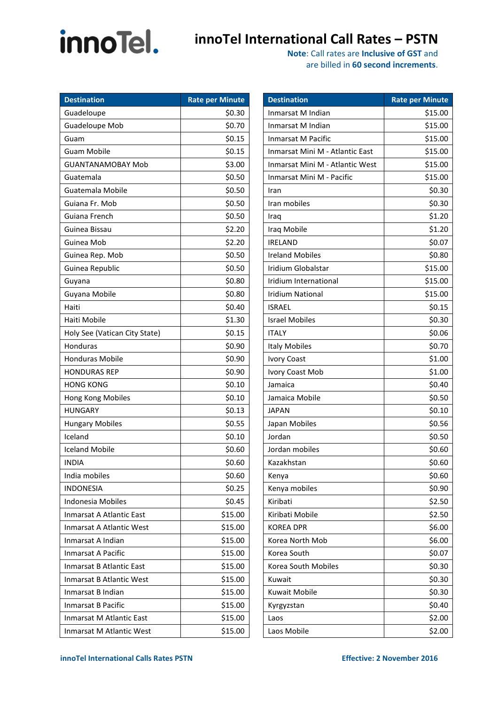### **innoTel** innoTel International Call Rates – PSTN

| <b>Destination</b>            | <b>Rate per Minute</b> |
|-------------------------------|------------------------|
| Guadeloupe                    | \$0.30                 |
| Guadeloupe Mob                | \$0.70                 |
| Guam                          | \$0.15                 |
| Guam Mobile                   | \$0.15                 |
| <b>GUANTANAMOBAY Mob</b>      | \$3.00                 |
| Guatemala                     | \$0.50                 |
| Guatemala Mobile              | \$0.50                 |
| Guiana Fr. Mob                | \$0.50                 |
| Guiana French                 | \$0.50                 |
| Guinea Bissau                 | \$2.20                 |
| Guinea Mob                    | \$2.20                 |
| Guinea Rep. Mob               | \$0.50                 |
| Guinea Republic               | \$0.50                 |
| Guyana                        | \$0.80                 |
| Guyana Mobile                 | \$0.80                 |
| Haiti                         | \$0.40                 |
| Haiti Mobile                  | \$1.30                 |
| Holy See (Vatican City State) | \$0.15                 |
| Honduras                      | \$0.90                 |
| <b>Honduras Mobile</b>        | \$0.90                 |
| <b>HONDURAS REP</b>           | \$0.90                 |
| <b>HONG KONG</b>              | \$0.10                 |
| Hong Kong Mobiles             | \$0.10                 |
| <b>HUNGARY</b>                | \$0.13                 |
| <b>Hungary Mobiles</b>        | \$0.55                 |
| Iceland                       | \$0.10                 |
| <b>Iceland Mobile</b>         | \$0.60                 |
| INDIA                         | \$0.60                 |
| India mobiles                 | \$0.60                 |
| INDONESIA                     | \$0.25                 |
| Indonesia Mobiles             | \$0.45                 |
| Inmarsat A Atlantic East      | \$15.00                |
| Inmarsat A Atlantic West      | \$15.00                |
| Inmarsat A Indian             | \$15.00                |
| Inmarsat A Pacific            | \$15.00                |
| Inmarsat B Atlantic East      | \$15.00                |
| Inmarsat B Atlantic West      | \$15.00                |
| Inmarsat B Indian             | \$15.00                |
| Inmarsat B Pacific            | \$15.00                |
| Inmarsat M Atlantic East      | \$15.00                |
| Inmarsat M Atlantic West      | \$15.00                |

| <b>Destination</b>              | <b>Rate per Minute</b> |
|---------------------------------|------------------------|
| Inmarsat M Indian               | \$15.00                |
| Inmarsat M Indian               | \$15.00                |
| Inmarsat M Pacific              | \$15.00                |
| Inmarsat Mini M - Atlantic East | \$15.00                |
| Inmarsat Mini M - Atlantic West | \$15.00                |
| Inmarsat Mini M - Pacific       | \$15.00                |
| Iran                            | \$0.30                 |
| Iran mobiles                    | \$0.30                 |
| Iraq                            | \$1.20                 |
| Iraq Mobile                     | \$1.20                 |
| <b>IRELAND</b>                  | \$0.07                 |
| <b>Ireland Mobiles</b>          | \$0.80                 |
| Iridium Globalstar              | \$15.00                |
| Iridium International           | \$15.00                |
| Iridium National                | \$15.00                |
| <b>ISRAEL</b>                   | \$0.15                 |
| <b>Israel Mobiles</b>           | \$0.30                 |
| <b>ITALY</b>                    | \$0.06                 |
| <b>Italy Mobiles</b>            | \$0.70                 |
| <b>Ivory Coast</b>              | \$1.00                 |
| Ivory Coast Mob                 | \$1.00                 |
| Jamaica                         | \$0.40                 |
| Jamaica Mobile                  | \$0.50                 |
| JAPAN                           | \$0.10                 |
| Japan Mobiles                   | \$0.56                 |
| Jordan                          | \$0.50                 |
| Jordan mobiles                  | \$0.60                 |
| Kazakhstan                      | \$0.60                 |
| Kenya                           | \$0.60                 |
| Kenya mobiles                   | \$0.90                 |
| Kiribati                        | \$2.50                 |
| Kiribati Mobile                 | \$2.50                 |
| <b>KOREA DPR</b>                | \$6.00                 |
| Korea North Mob                 | \$6.00                 |
| Korea South                     | \$0.07                 |
| Korea South Mobiles             | \$0.30                 |
| Kuwait                          | \$0.30                 |
| <b>Kuwait Mobile</b>            | \$0.30                 |
| Kyrgyzstan                      | \$0.40                 |
| Laos                            | \$2.00                 |
| Laos Mobile                     | \$2.00                 |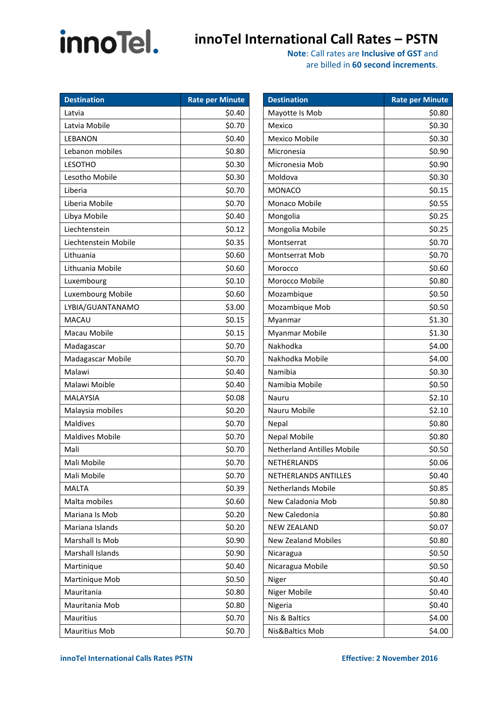## **innoTel** International Call Rates – PSTN<br>Note: Call rates are inclusive of GST and

| <b>Destination</b>      | <b>Rate per Minute</b> |
|-------------------------|------------------------|
| Latvia                  | \$0.40                 |
| Latvia Mobile           | \$0.70                 |
| LEBANON                 | \$0.40                 |
| Lebanon mobiles         | \$0.80                 |
| <b>LESOTHO</b>          | \$0.30                 |
| Lesotho Mobile          | \$0.30                 |
| Liberia                 | \$0.70                 |
| Liberia Mobile          | \$0.70                 |
| Libya Mobile            | \$0.40                 |
| Liechtenstein           | \$0.12                 |
| Liechtenstein Mobile    | \$0.35                 |
| Lithuania               | \$0.60                 |
| Lithuania Mobile        | \$0.60                 |
| Luxembourg              | \$0.10                 |
| Luxembourg Mobile       | \$0.60                 |
| LYBIA/GUANTANAMO        | \$3.00                 |
| <b>MACAU</b>            | \$0.15                 |
| Macau Mobile            | \$0.15                 |
| Madagascar              | \$0.70                 |
| Madagascar Mobile       | \$0.70                 |
| Malawi                  | \$0.40                 |
| Malawi Moible           | \$0.40                 |
| <b>MALAYSIA</b>         | \$0.08                 |
| Malaysia mobiles        | \$0.20                 |
| <b>Maldives</b>         | \$0.70                 |
| <b>Maldives Mobile</b>  | \$0.70                 |
| Mali                    | \$0.70                 |
| Mali Mobile             | \$0.70                 |
| Mali Mobile             | \$0.70                 |
| MALTA                   | \$0.39                 |
| Malta mobiles           | \$0.60                 |
| Mariana Is Mob          | \$0.20                 |
| Mariana Islands         | \$0.20                 |
| <b>Marshall Is Mob</b>  | \$0.90                 |
| <b>Marshall Islands</b> | \$0.90                 |
| Martinique              | \$0.40                 |
| Martinique Mob          | \$0.50                 |
| Mauritania              | \$0.80                 |
| Mauritania Mob          | \$0.80                 |
| Mauritius               | \$0.70                 |
| <b>Mauritius Mob</b>    | \$0.70                 |

| <b>Destination</b>                | <b>Rate per Minute</b> |
|-----------------------------------|------------------------|
| Mayotte Is Mob                    | \$0.80                 |
| Mexico                            | \$0.30                 |
| <b>Mexico Mobile</b>              | \$0.30                 |
| Micronesia                        | \$0.90                 |
| Micronesia Mob                    | \$0.90                 |
| Moldova                           | \$0.30                 |
| <b>MONACO</b>                     | \$0.15                 |
| Monaco Mobile                     | \$0.55                 |
| Mongolia                          | \$0.25                 |
| Mongolia Mobile                   | \$0.25                 |
| Montserrat                        | \$0.70                 |
| Montserrat Mob                    | \$0.70                 |
| Morocco                           | \$0.60                 |
| Morocco Mobile                    | \$0.80                 |
| Mozambique                        | \$0.50                 |
| Mozambique Mob                    | \$0.50                 |
| Myanmar                           | \$1.30                 |
| Myanmar Mobile                    | \$1.30                 |
| Nakhodka                          | \$4.00                 |
| Nakhodka Mobile                   | \$4.00                 |
| Namibia                           | \$0.30                 |
| Namibia Mobile                    | \$0.50                 |
| Nauru                             | \$2.10                 |
| Nauru Mobile                      | \$2.10                 |
| Nepal                             | \$0.80                 |
| <b>Nepal Mobile</b>               | \$0.80                 |
| <b>Netherland Antilles Mobile</b> | \$0.50                 |
| NETHERLANDS                       | \$0.06                 |
| NETHERLANDS ANTILLES              | \$0.40                 |
| <b>Netherlands Mobile</b>         | \$0.85                 |
| New Caladonia Mob                 | \$0.80                 |
| New Caledonia                     | \$0.80                 |
| <b>NEW ZEALAND</b>                | \$0.07                 |
| <b>New Zealand Mobiles</b>        | \$0.80                 |
| Nicaragua                         | \$0.50                 |
| Nicaragua Mobile                  | \$0.50                 |
| Niger                             | \$0.40                 |
| Niger Mobile                      | \$0.40                 |
| Nigeria                           | \$0.40                 |
| Nis & Baltics                     | \$4.00                 |
| Nis&Baltics Mob                   | \$4.00                 |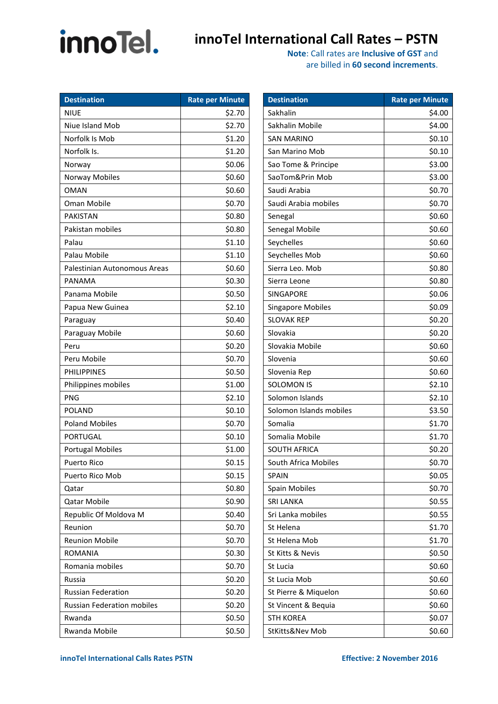# innoTel.

### **innoTel International Call Rates – PSTN**

| <b>Destination</b>                | <b>Rate per Minute</b> |
|-----------------------------------|------------------------|
| NIUE                              | \$2.70                 |
| Niue Island Mob                   | \$2.70                 |
| Norfolk Is Mob                    | \$1.20                 |
| Norfolk Is.                       | \$1.20                 |
| Norway                            | \$0.06                 |
| Norway Mobiles                    | \$0.60                 |
| OMAN                              | \$0.60                 |
| Oman Mobile                       | \$0.70                 |
| <b>PAKISTAN</b>                   | \$0.80                 |
| Pakistan mobiles                  | \$0.80                 |
| Palau                             | \$1.10                 |
| Palau Mobile                      | \$1.10                 |
| Palestinian Autonomous Areas      | \$0.60                 |
| PANAMA                            | \$0.30                 |
| Panama Mobile                     | \$0.50                 |
| Papua New Guinea                  | \$2.10                 |
| Paraguay                          | \$0.40                 |
| Paraguay Mobile                   | \$0.60                 |
| Peru                              | \$0.20                 |
| Peru Mobile                       | \$0.70                 |
| <b>PHILIPPINES</b>                | \$0.50                 |
| Philippines mobiles               | \$1.00                 |
| PNG                               | \$2.10                 |
| POLAND                            | \$0.10                 |
| <b>Poland Mobiles</b>             | \$0.70                 |
| PORTUGAL                          | \$0.10                 |
| <b>Portugal Mobiles</b>           | \$1.00                 |
| <b>Puerto Rico</b>                | \$0.15                 |
| Puerto Rico Mob                   | \$0.15                 |
| Qatar                             | \$0.80                 |
| <b>Qatar Mobile</b>               | \$0.90                 |
| Republic Of Moldova M             | \$0.40                 |
| Reunion                           | \$0.70                 |
| <b>Reunion Mobile</b>             | \$0.70                 |
| ROMANIA                           | \$0.30                 |
| Romania mobiles                   | \$0.70                 |
| Russia                            | \$0.20                 |
| <b>Russian Federation</b>         | \$0.20                 |
| <b>Russian Federation mobiles</b> | \$0.20                 |
| Rwanda                            | \$0.50                 |
| Rwanda Mobile                     | \$0.50                 |

| <b>Destination</b>       | <b>Rate per Minute</b> |
|--------------------------|------------------------|
| Sakhalin                 | \$4.00                 |
| Sakhalin Mobile          | \$4.00                 |
| <b>SAN MARINO</b>        | \$0.10                 |
| San Marino Mob           | \$0.10                 |
| Sao Tome & Principe      | \$3.00                 |
| SaoTom&Prin Mob          | \$3.00                 |
| Saudi Arabia             | \$0.70                 |
| Saudi Arabia mobiles     | \$0.70                 |
| Senegal                  | \$0.60                 |
| Senegal Mobile           | \$0.60                 |
| Seychelles               | \$0.60                 |
| Seychelles Mob           | \$0.60                 |
| Sierra Leo. Mob          | \$0.80                 |
| Sierra Leone             | \$0.80                 |
| <b>SINGAPORE</b>         | \$0.06                 |
| <b>Singapore Mobiles</b> | \$0.09                 |
| <b>SLOVAK REP</b>        | \$0.20                 |
| Slovakia                 | \$0.20                 |
| Slovakia Mobile          | \$0.60                 |
| Slovenia                 | \$0.60                 |
| Slovenia Rep             | \$0.60                 |
| <b>SOLOMON IS</b>        | \$2.10                 |
| Solomon Islands          | \$2.10                 |
| Solomon Islands mobiles  | \$3.50                 |
| Somalia                  | \$1.70                 |
| Somalia Mobile           | \$1.70                 |
| <b>SOUTH AFRICA</b>      | \$0.20                 |
| South Africa Mobiles     | \$0.70                 |
| <b>SPAIN</b>             | \$0.05                 |
| <b>Spain Mobiles</b>     | \$0.70                 |
| <b>SRI LANKA</b>         | \$0.55                 |
| Sri Lanka mobiles        | \$0.55                 |
| St Helena                | \$1.70                 |
| St Helena Mob            | \$1.70                 |
| St Kitts & Nevis         | \$0.50                 |
| St Lucia                 | \$0.60                 |
| St Lucia Mob             | \$0.60                 |
| St Pierre & Miquelon     | \$0.60                 |
| St Vincent & Bequia      | \$0.60                 |
| <b>STH KOREA</b>         | \$0.07                 |
| StKitts&Nev Mob          | \$0.60                 |